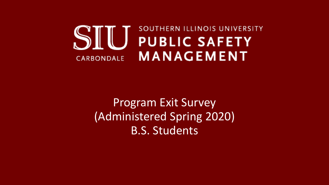## SOUTHERN ILLINOIS UNIVERSITY  $S$ **PUBLIC SAFETY MANAGEMENT** CARBONDALE

## Program Exit Survey (Administered Spring 2020) B.S. Students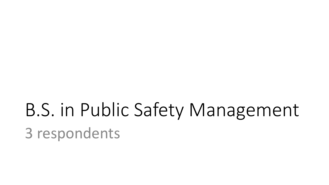## B.S. in Public Safety Management 3 respondents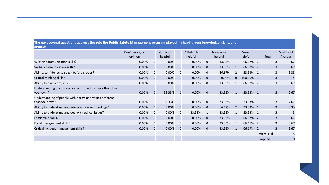| [The next several questions address the role the Public Safety Management program played in shaping your knowledge, skills, and |                          |                |                       |             |                         |             |                     |              |                 |                |                     |
|---------------------------------------------------------------------------------------------------------------------------------|--------------------------|----------------|-----------------------|-------------|-------------------------|-------------|---------------------|--------------|-----------------|----------------|---------------------|
| abilities.                                                                                                                      |                          |                |                       |             |                         |             |                     |              |                 |                |                     |
|                                                                                                                                 | Don't know/no<br>opinion |                | Not at all<br>helpful |             | A little bit<br>helpful |             | Somewhat<br>helpful |              | Very<br>helpful | Total          | Weighted<br>Average |
| Written communication skills?                                                                                                   | 0.00%                    | 0              | 0.00%                 | 0           | 0.00%                   | 0           | 33.33%              |              | 66.67% 2        |                | 3.67                |
| Verbal communication skills?                                                                                                    | 0.00%                    | $\mathbf 0$    | 0.00%                 | 0           | 0.00%                   | $\mathbf 0$ | 33.33%              | $\mathbf{1}$ | 66.67% 2        | $\overline{3}$ | 3.67                |
| Ability/confidence to speak before groups?                                                                                      | 0.00%                    | 0              | 0.00%                 | 0           | 0.00%                   | 0           | 66.67%              | 2            | 33.33% 1        |                | 3.33                |
| Critical thinking skills?                                                                                                       | 0.00%                    | 0              | 0.00%                 | 0           | 0.00%                   | 0           | 0.00%               |              | 100.00% 3       | 3              |                     |
| Ability to plan a project?                                                                                                      | 0.00%                    | $\mathbf 0$    | 0.00%                 | $\mathbf 0$ | 0.00%                   | $\mathbf 0$ | 33.33%              | 1            | 66.67% 2        | 3              | 3.67                |
| Understanding of cultures, races, and ethnicities other than<br>your own?                                                       | 0.00%                    | $\overline{0}$ | 33.33%                |             | 0.00%                   | $\mathbf 0$ | 33.33%              |              | 33.33% 1        | 3              | 2.67                |
| Understanding of people with norms and values different<br>than your own?                                                       | 0.00%                    | 0              | 33.33%                | 1           | 0.00%                   | 0           | 33.33%              |              | 33.33% 1        | 3              | 2.67                |
| Ability to understand and interpret research findings?                                                                          | 0.00%                    | $\mathbf 0$    | 0.00%                 | 0           | 0.00%                   | $\mathbf 0$ | 66.67%              | <sup>2</sup> | 33.33% 1        | $\overline{3}$ | 3.33                |
| Ability to understand and deal with ethical issues?                                                                             | 0.00%                    | 0              | 0.00%                 | 0           | 33.33%                  | 1           | 33.33%              |              | 33.33% 1        |                |                     |
| Leadership skills?                                                                                                              | 0.00%                    | 0              | 0.00%                 | 0           | 0.00%                   | $\mathbf 0$ | 33.33%              | 1            | 66.67% 2        | $\overline{3}$ | 3.67                |
| Fiscal management skills?                                                                                                       | 0.00%                    | 0              | 0.00%                 | 0           | 0.00%                   | 0           | 33.33%              | -1           | 66.67% 2        |                | 3.67                |
| Critical incident management skills?                                                                                            | 0.00%                    | $\mathbf 0$    | 0.00%                 | $\mathbf 0$ | 0.00%                   | $\mathbf 0$ | 33.33%              | $\mathbf{1}$ | 66.67% 2        | 3              | 3.67                |
|                                                                                                                                 |                          |                |                       |             |                         |             |                     |              |                 | Answered       |                     |
|                                                                                                                                 |                          |                |                       |             |                         |             |                     |              |                 | Skipped        | $\Omega$            |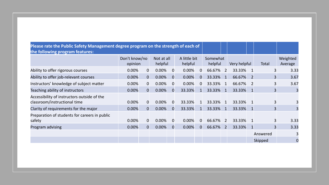| Please rate the Public Safety Management degree program on the strength of each of<br>the following program features: |                          |                       |       |                         |        |                     |        |                |        |              |          |                     |                |
|-----------------------------------------------------------------------------------------------------------------------|--------------------------|-----------------------|-------|-------------------------|--------|---------------------|--------|----------------|--------|--------------|----------|---------------------|----------------|
|                                                                                                                       | Don't know/no<br>opinion | Not at all<br>helpful |       | A little bit<br>helpful |        | Somewhat<br>helpful |        | Very helpful   |        | Total        |          | Weighted<br>Average |                |
| Ability to offer rigorous courses                                                                                     | 0.00%                    | $\overline{0}$        | 0.00% | $\overline{0}$          | 0.00%  | $\mathbf 0$         | 66.67% | <sup>2</sup>   | 33.33% |              |          | 3                   | 3.33           |
| Ability to offer job-relevant courses                                                                                 | 0.00%                    | $\overline{0}$        | 0.00% | $\overline{0}$          | 0.00%  | $\mathbf 0$         | 33.33% | $\mathbf{1}$   | 66.67% | <sup>2</sup> |          | 3                   | 3.67           |
| Instructors' knowledge of subject matter                                                                              | 0.00%                    | $\overline{0}$        | 0.00% | $\overline{0}$          | 0.00%  | 0                   | 33.33% | 1              | 66.67% | 2            |          | 3                   | 3.67           |
| Teaching ability of instructors                                                                                       | 0.00%                    | $\overline{0}$        | 0.00% | $\overline{0}$          | 33.33% | 1                   | 33.33% |                | 33.33% |              |          | 3                   |                |
| Accessibility of instructors outside of the<br>classroom/instructional time                                           | 0.00%                    | $\overline{0}$        | 0.00% | $\overline{0}$          | 33.33% |                     | 33.33% |                | 33.33% |              |          | 3                   |                |
| Clarity of requirements for the major                                                                                 | 0.00%                    | $\overline{0}$        | 0.00% | $\overline{0}$          | 33.33% |                     | 33.33% | $\mathbf{1}$   | 33.33% | 1            |          | 3                   |                |
| Preparation of students for careers in public<br>safety                                                               | 0.00%                    | $\overline{0}$        | 0.00% | $\mathbf 0$             | 0.00%  | $\mathbf 0$         | 66.67% | 2              | 33.33% |              |          | 3                   | 3.33           |
| Program advising                                                                                                      | 0.00%                    | $\overline{0}$        | 0.00% | $\overline{0}$          | 0.00%  | $\overline{0}$      | 66.67% | $\overline{2}$ | 33.33% |              |          | 3                   | 3.33           |
|                                                                                                                       |                          |                       |       |                         |        |                     |        |                |        |              | Answered |                     |                |
|                                                                                                                       |                          |                       |       |                         |        |                     |        |                |        |              | Skipped  |                     | $\overline{0}$ |